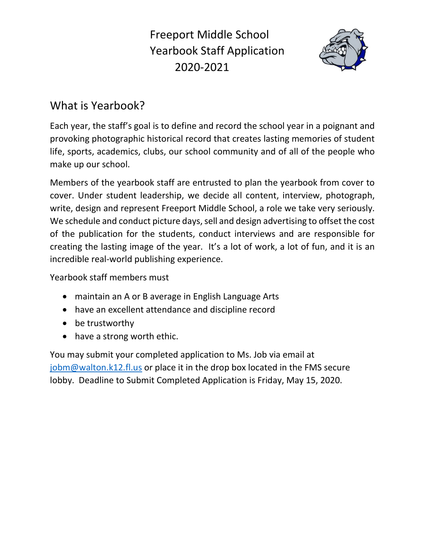Freeport Middle School Yearbook Staff Application 2020-2021



# What is Yearbook?

Each year, the staff's goal is to define and record the school year in a poignant and provoking photographic historical record that creates lasting memories of student life, sports, academics, clubs, our school community and of all of the people who make up our school.

Members of the yearbook staff are entrusted to plan the yearbook from cover to cover. Under student leadership, we decide all content, interview, photograph, write, design and represent Freeport Middle School, a role we take very seriously. We schedule and conduct picture days, sell and design advertising to offset the cost of the publication for the students, conduct interviews and are responsible for creating the lasting image of the year. It's a lot of work, a lot of fun, and it is an incredible real-world publishing experience.

Yearbook staff members must

- maintain an A or B average in English Language Arts
- have an excellent attendance and discipline record
- be trustworthy
- have a strong worth ethic.

You may submit your completed application to Ms. Job via email at [jobm@walton.k12.fl.us](mailto:jobm@walton.k12.fl.us) or place it in the drop box located in the FMS secure lobby. Deadline to Submit Completed Application is Friday, May 15, 2020.